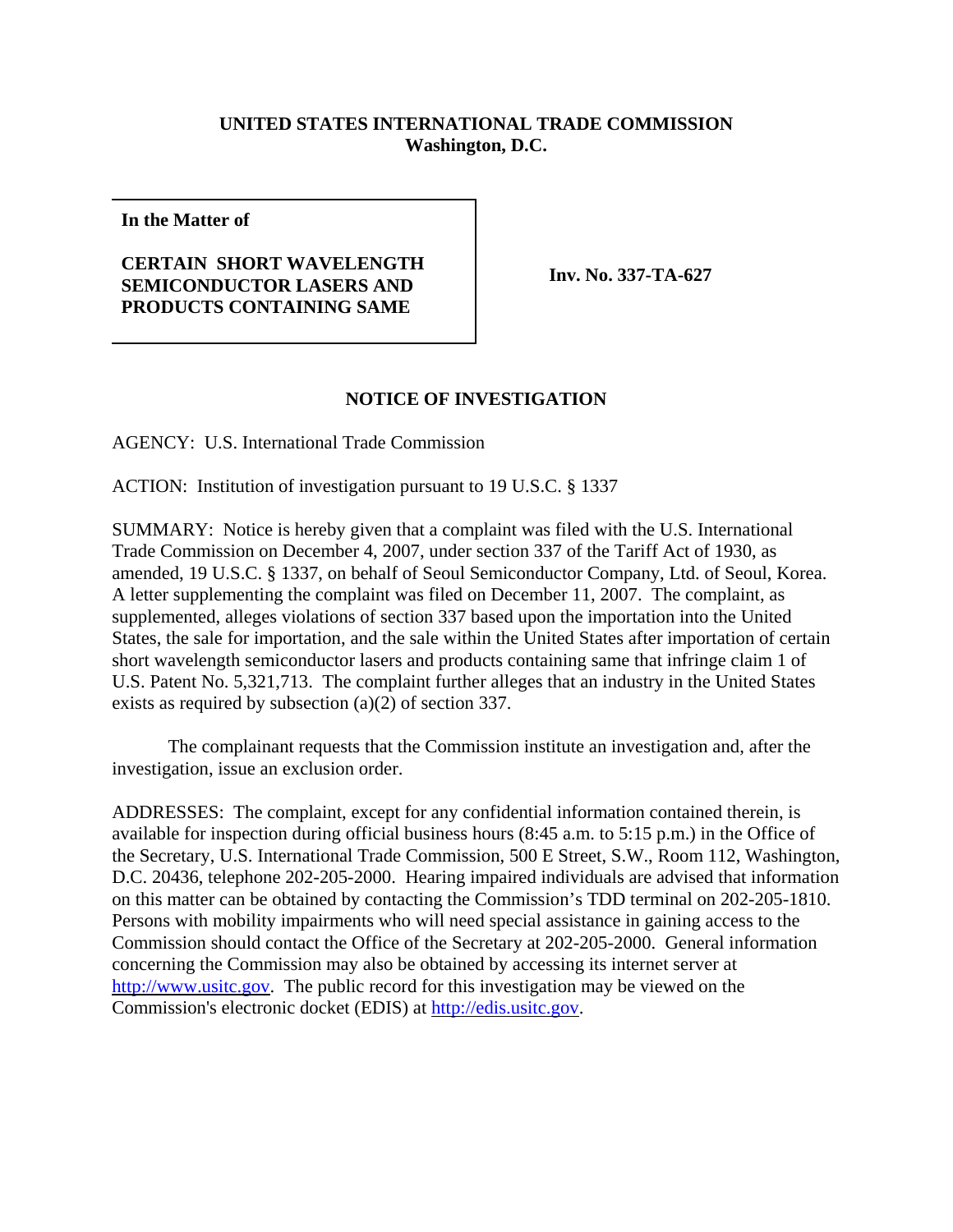## **UNITED STATES INTERNATIONAL TRADE COMMISSION Washington, D.C.**

**In the Matter of**

## **CERTAIN SHORT WAVELENGTH SEMICONDUCTOR LASERS AND PRODUCTS CONTAINING SAME**

**Inv. No. 337-TA-627**

## **NOTICE OF INVESTIGATION**

AGENCY: U.S. International Trade Commission

ACTION: Institution of investigation pursuant to 19 U.S.C. § 1337

SUMMARY: Notice is hereby given that a complaint was filed with the U.S. International Trade Commission on December 4, 2007, under section 337 of the Tariff Act of 1930, as amended, 19 U.S.C. § 1337, on behalf of Seoul Semiconductor Company, Ltd. of Seoul, Korea. A letter supplementing the complaint was filed on December 11, 2007. The complaint, as supplemented, alleges violations of section 337 based upon the importation into the United States, the sale for importation, and the sale within the United States after importation of certain short wavelength semiconductor lasers and products containing same that infringe claim 1 of U.S. Patent No. 5,321,713. The complaint further alleges that an industry in the United States exists as required by subsection (a)(2) of section 337.

The complainant requests that the Commission institute an investigation and, after the investigation, issue an exclusion order.

ADDRESSES: The complaint, except for any confidential information contained therein, is available for inspection during official business hours (8:45 a.m. to 5:15 p.m.) in the Office of the Secretary, U.S. International Trade Commission, 500 E Street, S.W., Room 112, Washington, D.C. 20436, telephone 202-205-2000. Hearing impaired individuals are advised that information on this matter can be obtained by contacting the Commission's TDD terminal on 202-205-1810. Persons with mobility impairments who will need special assistance in gaining access to the Commission should contact the Office of the Secretary at 202-205-2000. General information concerning the Commission may also be obtained by accessing its internet server at http://www.usitc.gov. The public record for this investigation may be viewed on the Commission's electronic docket (EDIS) at http://edis.usitc.gov.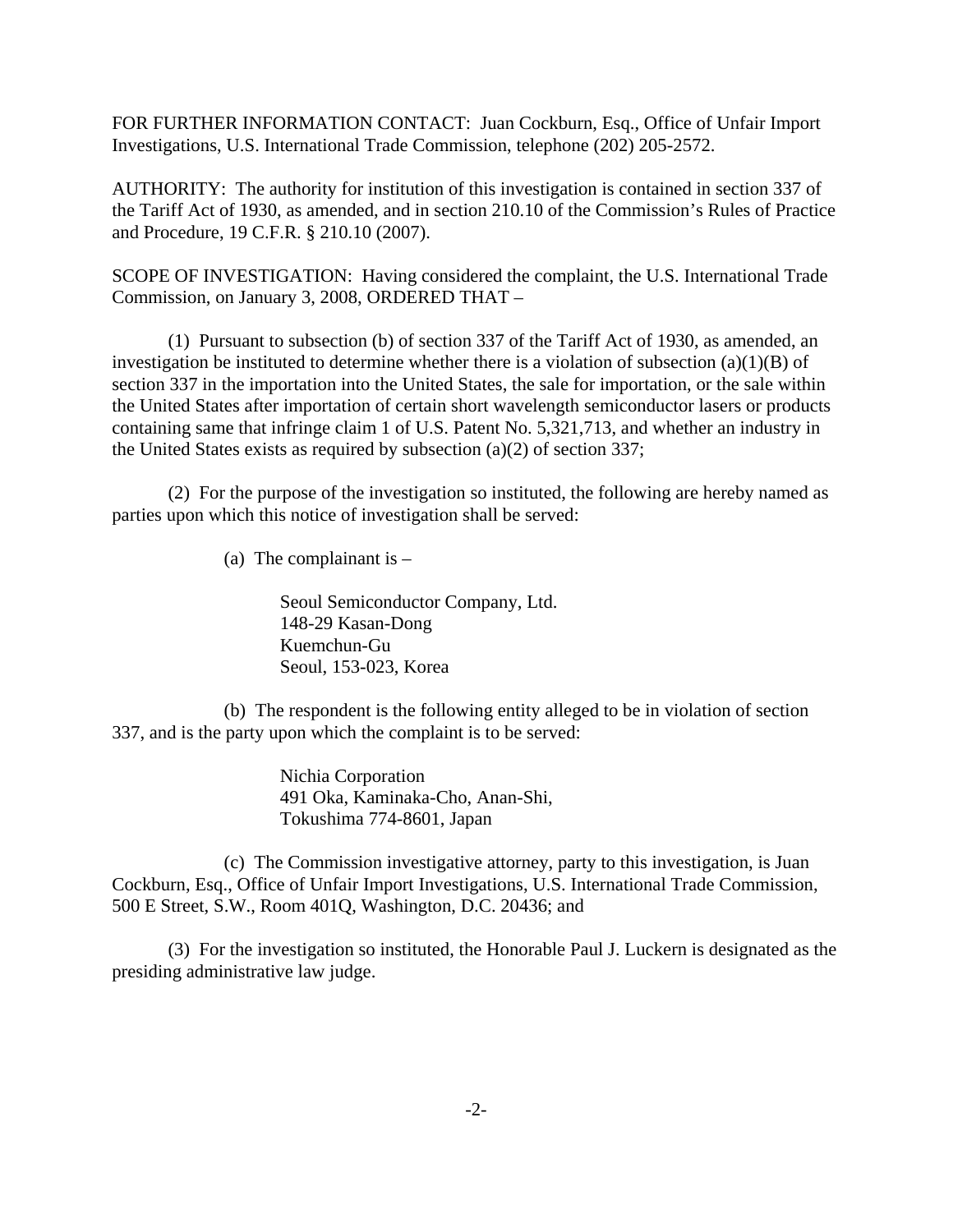FOR FURTHER INFORMATION CONTACT: Juan Cockburn, Esq., Office of Unfair Import Investigations, U.S. International Trade Commission, telephone (202) 205-2572.

AUTHORITY: The authority for institution of this investigation is contained in section 337 of the Tariff Act of 1930, as amended, and in section 210.10 of the Commission's Rules of Practice and Procedure, 19 C.F.R. § 210.10 (2007).

SCOPE OF INVESTIGATION: Having considered the complaint, the U.S. International Trade Commission, on January 3, 2008, ORDERED THAT –

(1) Pursuant to subsection (b) of section 337 of the Tariff Act of 1930, as amended, an investigation be instituted to determine whether there is a violation of subsection  $(a)(1)(B)$  of section 337 in the importation into the United States, the sale for importation, or the sale within the United States after importation of certain short wavelength semiconductor lasers or products containing same that infringe claim 1 of U.S. Patent No. 5,321,713, and whether an industry in the United States exists as required by subsection (a)(2) of section 337;

(2) For the purpose of the investigation so instituted, the following are hereby named as parties upon which this notice of investigation shall be served:

(a) The complainant is  $-$ 

Seoul Semiconductor Company, Ltd. 148-29 Kasan-Dong Kuemchun-Gu Seoul, 153-023, Korea

(b) The respondent is the following entity alleged to be in violation of section 337, and is the party upon which the complaint is to be served:

> Nichia Corporation 491 Oka, Kaminaka-Cho, Anan-Shi, Tokushima 774-8601, Japan

(c) The Commission investigative attorney, party to this investigation, is Juan Cockburn, Esq., Office of Unfair Import Investigations, U.S. International Trade Commission, 500 E Street, S.W., Room 401Q, Washington, D.C. 20436; and

(3) For the investigation so instituted, the Honorable Paul J. Luckern is designated as the presiding administrative law judge.